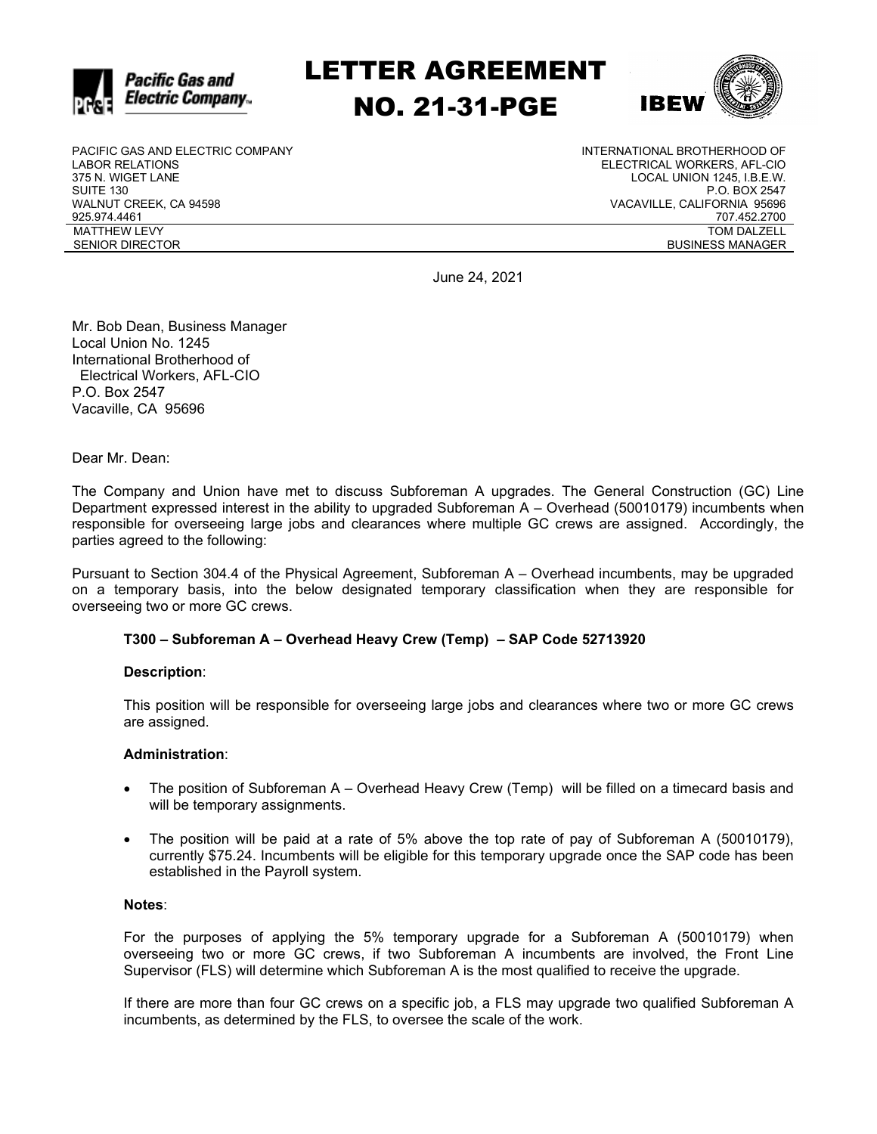

LETTER AGREEMENT NO. 21-31-PGE



PACIFIC GAS AND ELECTRIC COMPANY LABOR RELATIONS 375 N. WIGET LANE SUITE 130 WALNUT CREEK, CA 94598 925.974.4461 MATTHEW LEVY SENIOR DIRECTOR

INTERNATIONAL BROTHERHOOD OF ELECTRICAL WORKERS, AFL-CIO LOCAL UNION 1245, I.B.E.W. P.O. BOX 2547 VACAVILLE, CALIFORNIA 95696 707.452.2700 TOM DALZELL BUSINESS MANAGER

June 24, 2021

Mr. Bob Dean, Business Manager Local Union No. 1245 International Brotherhood of Electrical Workers, AFL-CIO P.O. Box 2547 Vacaville, CA 95696

Dear Mr. Dean:

The Company and Union have met to discuss Subforeman A upgrades. The General Construction (GC) Line Department expressed interest in the ability to upgraded Subforeman A – Overhead (50010179) incumbents when responsible for overseeing large jobs and clearances where multiple GC crews are assigned. Accordingly, the parties agreed to the following:

Pursuant to Section 304.4 of the Physical Agreement, Subforeman A – Overhead incumbents, may be upgraded on a temporary basis, into the below designated temporary classification when they are responsible for overseeing two or more GC crews.

## **T300 – Subforeman A – Overhead Heavy Crew (Temp) – SAP Code 52713920**

## **Description**:

This position will be responsible for overseeing large jobs and clearances where two or more GC crews are assigned.

## **Administration**:

- The position of Subforeman A Overhead Heavy Crew (Temp) will be filled on a timecard basis and will be temporary assignments.
- The position will be paid at a rate of 5% above the top rate of pay of Subforeman A (50010179), currently \$75.24. Incumbents will be eligible for this temporary upgrade once the SAP code has been established in the Payroll system.

### **Notes**:

For the purposes of applying the 5% temporary upgrade for a Subforeman A (50010179) when overseeing two or more GC crews, if two Subforeman A incumbents are involved, the Front Line Supervisor (FLS) will determine which Subforeman A is the most qualified to receive the upgrade.

If there are more than four GC crews on a specific job, a FLS may upgrade two qualified Subforeman A incumbents, as determined by the FLS, to oversee the scale of the work.